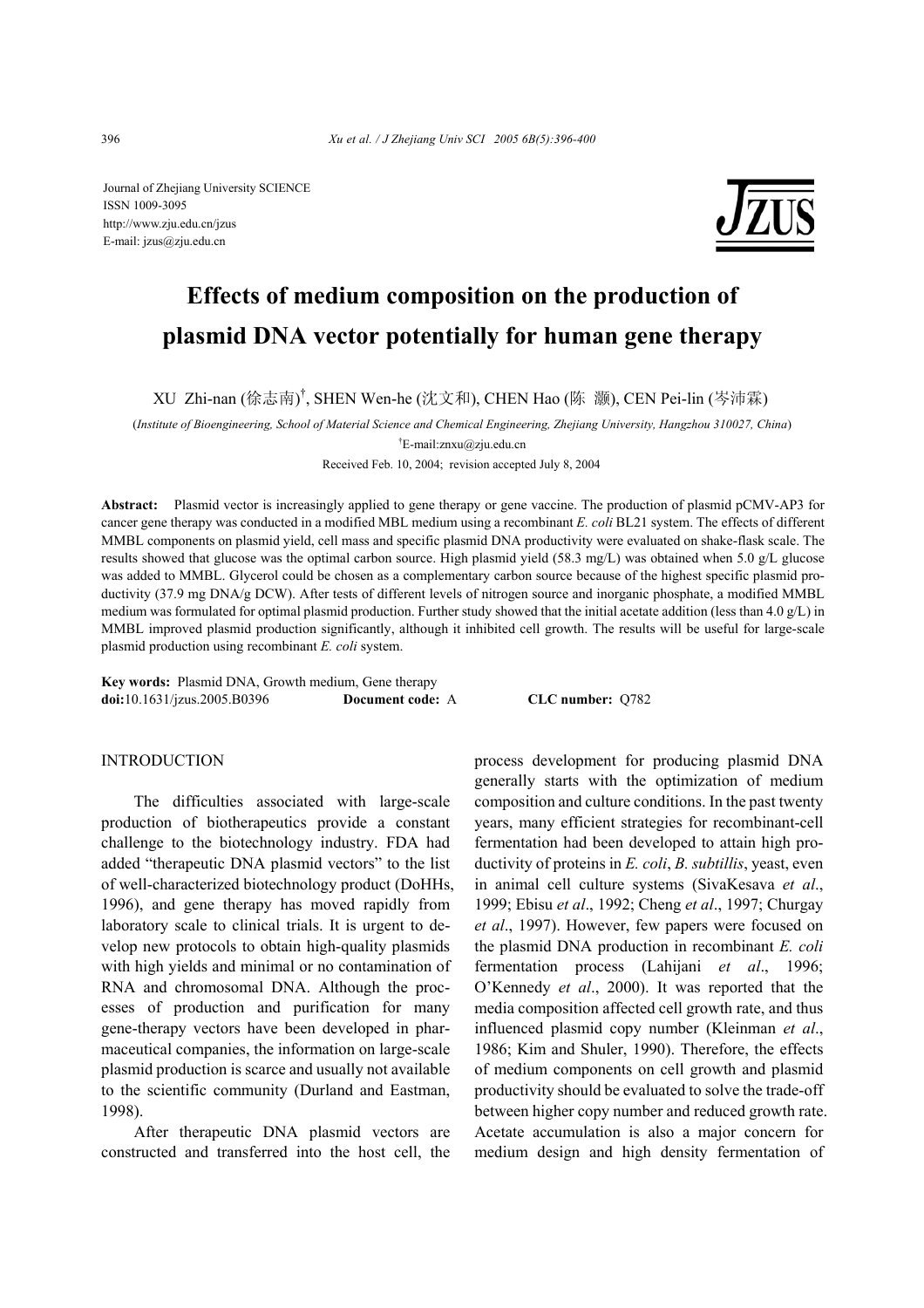Journal of Zhejiang University SCIENCE ISSN 1009-3095 http://www.zju.edu.cn/jzus E-mail: jzus@zju.edu.cn



# **Effects of medium composition on the production of plasmid DNA vector potentially for human gene therapy**

XU Zhi-nan (徐志南)<sup>†</sup>, SHEN Wen-he (沈文和), CHEN Hao (陈 灏), CEN Pei-lin (岑沛霖)

(*Institute of Bioengineering, School of Material Science and Chemical Engineering, Zhejiang University, Hangzhou 310027, China*)

† E-mail:znxu@zju.edu.cn

Received Feb. 10, 2004; revision accepted July 8, 2004

**Abstract:** Plasmid vector is increasingly applied to gene therapy or gene vaccine. The production of plasmid pCMV-AP3 for cancer gene therapy was conducted in a modified MBL medium using a recombinant *E. coli* BL21 system. The effects of different MMBL components on plasmid yield, cell mass and specific plasmid DNA productivity were evaluated on shake-flask scale. The results showed that glucose was the optimal carbon source. High plasmid yield (58.3 mg/L) was obtained when 5.0 g/L glucose was added to MMBL. Glycerol could be chosen as a complementary carbon source because of the highest specific plasmid productivity (37.9 mg DNA/g DCW). After tests of different levels of nitrogen source and inorganic phosphate, a modified MMBL medium was formulated for optimal plasmid production. Further study showed that the initial acetate addition (less than 4.0 g/L) in MMBL improved plasmid production significantly, although it inhibited cell growth. The results will be useful for large-scale plasmid production using recombinant *E. coli* system.

**Key words:** Plasmid DNA, Growth medium, Gene therapy **doi:**10.1631/jzus.2005.B0396 **Document code:** A **CLC number:** Q782

# **INTRODUCTION**

The difficulties associated with large-scale production of biotherapeutics provide a constant challenge to the biotechnology industry. FDA had added "therapeutic DNA plasmid vectors" to the list of well-characterized biotechnology product (DoHHs, 1996), and gene therapy has moved rapidly from laboratory scale to clinical trials. It is urgent to develop new protocols to obtain high-quality plasmids with high yields and minimal or no contamination of RNA and chromosomal DNA. Although the processes of production and purification for many gene-therapy vectors have been developed in pharmaceutical companies, the information on large-scale plasmid production is scarce and usually not available to the scientific community (Durland and Eastman, 1998).

After therapeutic DNA plasmid vectors are constructed and transferred into the host cell, the process development for producing plasmid DNA generally starts with the optimization of medium composition and culture conditions. In the past twenty years, many efficient strategies for recombinant-cell fermentation had been developed to attain high productivity of proteins in *E. coli*, *B. subtillis*, yeast, even in animal cell culture systems (SivaKesava *et al*., 1999; Ebisu *et al*., 1992; Cheng *et al*., 1997; Churgay *et al*., 1997). However, few papers were focused on the plasmid DNA production in recombinant *E. coli* fermentation process (Lahijani *et al*., 1996; O'Kennedy *et al*., 2000). It was reported that the media composition affected cell growth rate, and thus influenced plasmid copy number (Kleinman *et al*., 1986; Kim and Shuler, 1990). Therefore, the effects of medium components on cell growth and plasmid productivity should be evaluated to solve the trade-off between higher copy number and reduced growth rate. Acetate accumulation is also a major concern for medium design and high density fermentation of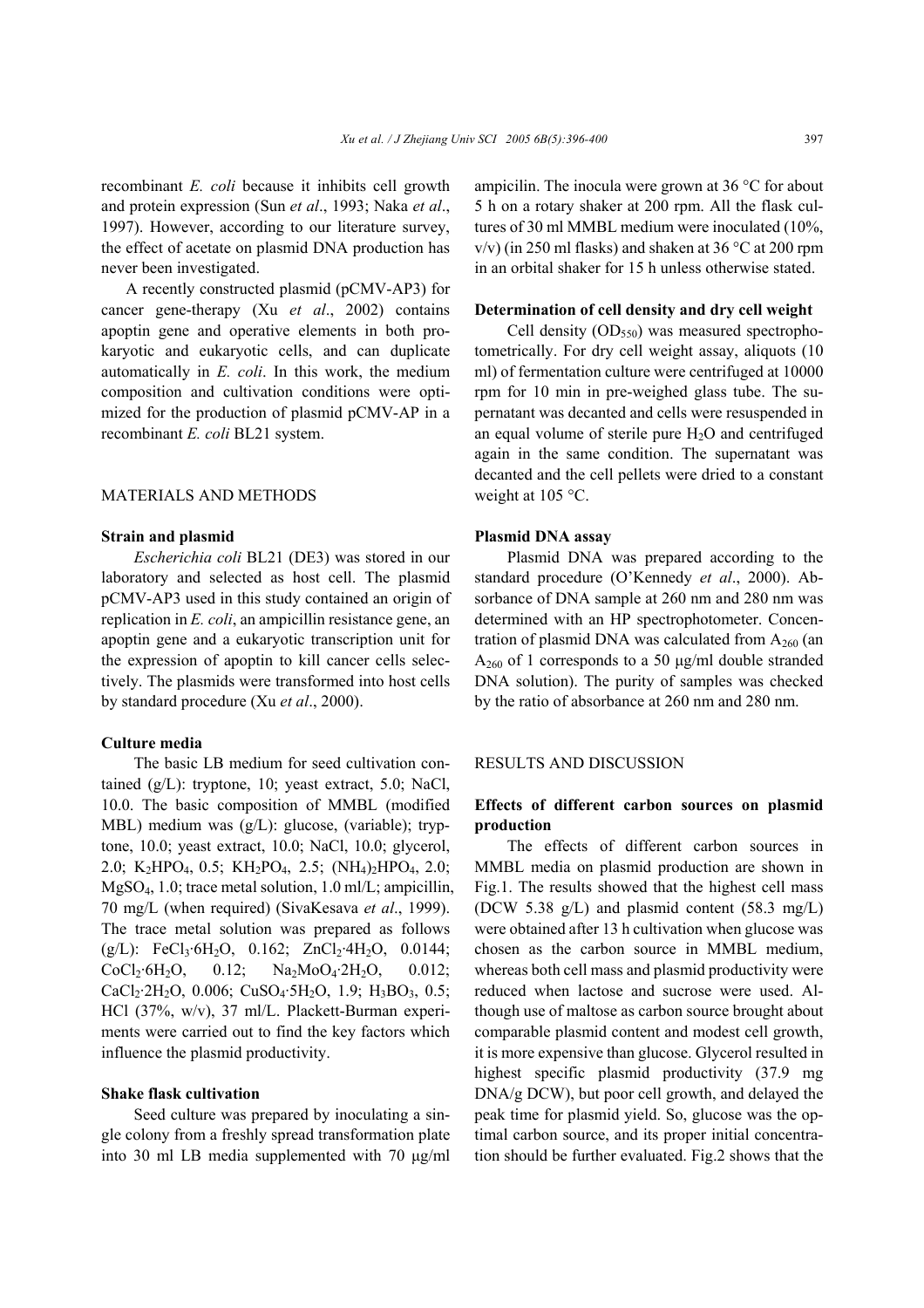recombinant *E. coli* because it inhibits cell growth and protein expression (Sun *et al*., 1993; Naka *et al*., 1997). However, according to our literature survey, the effect of acetate on plasmid DNA production has never been investigated.

A recently constructed plasmid (pCMV-AP3) for cancer gene-therapy (Xu *et al*., 2002) contains apoptin gene and operative elements in both prokaryotic and eukaryotic cells, and can duplicate automatically in *E. coli*. In this work, the medium composition and cultivation conditions were optimized for the production of plasmid pCMV-AP in a recombinant *E. coli* BL21 system.

## MATERIALS AND METHODS

## **Strain and plasmid**

*Escherichia coli* BL21 (DE3) was stored in our laboratory and selected as host cell. The plasmid pCMV-AP3 used in this study contained an origin of replication in *E. coli*, an ampicillin resistance gene, an apoptin gene and a eukaryotic transcription unit for the expression of apoptin to kill cancer cells selectively. The plasmids were transformed into host cells by standard procedure (Xu *et al*., 2000).

## **Culture media**

The basic LB medium for seed cultivation contained (g/L): tryptone, 10; yeast extract, 5.0; NaCl, 10.0. The basic composition of MMBL (modified MBL) medium was (g/L): glucose, (variable); tryptone, 10.0; yeast extract, 10.0; NaCl, 10.0; glycerol, 2.0; K2HPO4, 0.5; KH2PO4, 2.5; (NH4)2HPO4, 2.0; MgSO4, 1.0; trace metal solution, 1.0 ml/L; ampicillin, 70 mg/L (when required) (SivaKesava *et al*., 1999). The trace metal solution was prepared as follows  $(g/L)$ : FeCl<sub>3</sub>·6H<sub>2</sub>O, 0.162; ZnCl<sub>2</sub>·4H<sub>2</sub>O, 0.0144;  $CoCl<sub>2</sub>·6H<sub>2</sub>O$ , 0.12;  $Na<sub>2</sub>MoO<sub>4</sub>·2H<sub>2</sub>O$ , 0.012;  $CaCl<sub>2</sub>·2H<sub>2</sub>O$ , 0.006;  $CuSO<sub>4</sub>·5H<sub>2</sub>O$ , 1.9;  $H<sub>3</sub>BO<sub>3</sub>$ , 0.5; HCl (37%, w/v), 37 ml/L. Plackett-Burman experiments were carried out to find the key factors which influence the plasmid productivity.

#### **Shake flask cultivation**

Seed culture was prepared by inoculating a single colony from a freshly spread transformation plate into 30 ml LB media supplemented with 70 µg/ml ampicilin. The inocula were grown at 36 °C for about 5 h on a rotary shaker at 200 rpm. All the flask cultures of 30 ml MMBL medium were inoculated (10%,  $v/v$ ) (in 250 ml flasks) and shaken at 36 °C at 200 rpm in an orbital shaker for 15 h unless otherwise stated.

## **Determination of cell density and dry cell weight**

Cell density  $(OD_{550})$  was measured spectrophotometrically. For dry cell weight assay, aliquots (10 ml) of fermentation culture were centrifuged at 10000 rpm for 10 min in pre-weighed glass tube. The supernatant was decanted and cells were resuspended in an equal volume of sterile pure  $H_2O$  and centrifuged again in the same condition. The supernatant was decanted and the cell pellets were dried to a constant weight at 105 °C.

## **Plasmid DNA assay**

Plasmid DNA was prepared according to the standard procedure (O'Kennedy *et al*., 2000). Absorbance of DNA sample at 260 nm and 280 nm was determined with an HP spectrophotometer. Concentration of plasmid DNA was calculated from  $A_{260}$  (an A260 of 1 corresponds to a 50 µg/ml double stranded DNA solution). The purity of samples was checked by the ratio of absorbance at 260 nm and 280 nm.

## RESULTS AND DISCUSSION

# **Effects of different carbon sources on plasmid production**

The effects of different carbon sources in MMBL media on plasmid production are shown in Fig.1. The results showed that the highest cell mass (DCW 5.38 g/L) and plasmid content (58.3 mg/L) were obtained after 13 h cultivation when glucose was chosen as the carbon source in MMBL medium, whereas both cell mass and plasmid productivity were reduced when lactose and sucrose were used. Although use of maltose as carbon source brought about comparable plasmid content and modest cell growth, it is more expensive than glucose. Glycerol resulted in highest specific plasmid productivity (37.9 mg DNA/g DCW), but poor cell growth, and delayed the peak time for plasmid yield. So, glucose was the optimal carbon source, and its proper initial concentration should be further evaluated. Fig.2 shows that the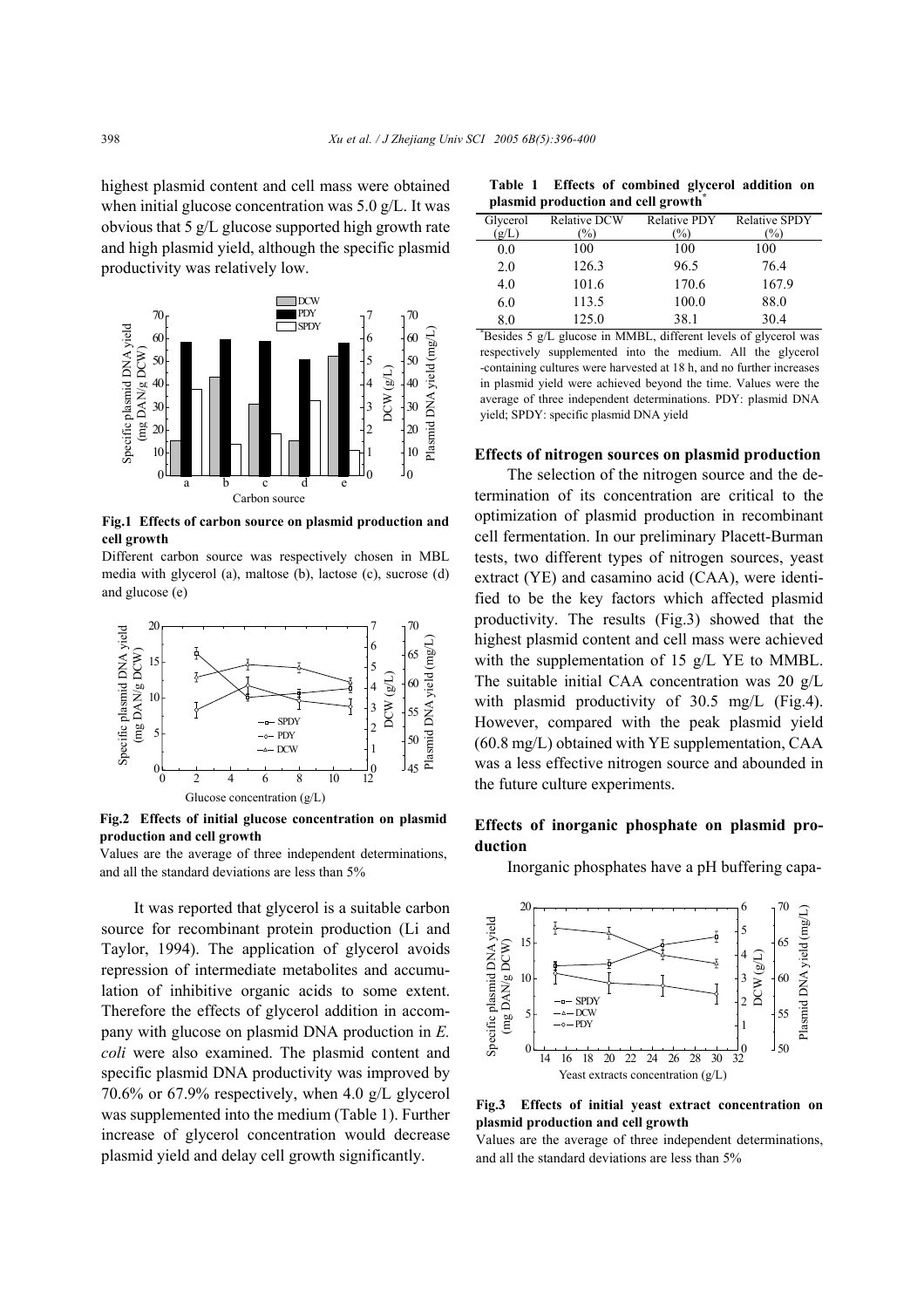highest plasmid content and cell mass were obtained when initial glucose concentration was 5.0 g/L. It was obvious that 5 g/L glucose supported high growth rate and high plasmid yield, although the specific plasmid productivity was relatively low.



**Fig.1 Effects of carbon source on plasmid production and cell growth** 

Different carbon source was respectively chosen in MBL media with glycerol (a), maltose (b), lactose (c), sucrose (d) and glucose (e)



**Fig.2 Effects of initial glucose concentration on plasmid production and cell growth** 

Values are the average of three independent determinations, and all the standard deviations are less than 5%

It was reported that glycerol is a suitable carbon source for recombinant protein production (Li and Taylor, 1994). The application of glycerol avoids repression of intermediate metabolites and accumulation of inhibitive organic acids to some extent. Therefore the effects of glycerol addition in accompany with glucose on plasmid DNA production in *E. coli* were also examined. The plasmid content and specific plasmid DNA productivity was improved by 70.6% or 67.9% respectively, when 4.0 g/L glycerol was supplemented into the medium (Table 1). Further increase of glycerol concentration would decrease plasmid yield and delay cell growth significantly.

**Table 1 Effects of combined glycerol addition on plasmid production and cell growth\***

| Glycerol | <b>Relative DCW</b> | <b>Relative PDY</b> | <b>Relative SPDY</b> |
|----------|---------------------|---------------------|----------------------|
| (g/L)    | $\%$                | $\%$                | (%)                  |
| 0.0      | 100                 | 100                 | 100                  |
| 2.0      | 126.3               | 96.5                | 76.4                 |
| 4.0      | 101.6               | 170.6               | 167.9                |
| 6.0      | 113.5               | 100.0               | 88.0                 |
| 8.0      | 125.0               | 38.1                | 30.4                 |

\* Besides 5 g/L glucose in MMBL, different levels of glycerol was respectively supplemented into the medium. All the glycerol -containing cultures were harvested at 18 h, and no further increases in plasmid yield were achieved beyond the time. Values were the average of three independent determinations. PDY: plasmid DNA yield; SPDY: specific plasmid DNA yield

#### **Effects of nitrogen sources on plasmid production**

The selection of the nitrogen source and the determination of its concentration are critical to the optimization of plasmid production in recombinant cell fermentation. In our preliminary Placett-Burman tests, two different types of nitrogen sources, yeast extract (YE) and casamino acid (CAA), were identified to be the key factors which affected plasmid productivity. The results (Fig.3) showed that the highest plasmid content and cell mass were achieved with the supplementation of 15 g/L YE to MMBL. The suitable initial CAA concentration was 20 g/L with plasmid productivity of 30.5 mg/L (Fig.4). However, compared with the peak plasmid yield (60.8 mg/L) obtained with YE supplementation, CAA was a less effective nitrogen source and abounded in the future culture experiments.

# **Effects of inorganic phosphate on plasmid production**

Inorganic phosphates have a pH buffering capa-



**Fig.3 Effects of initial yeast extract concentration on plasmid production and cell growth**

Values are the average of three independent determinations, and all the standard deviations are less than 5%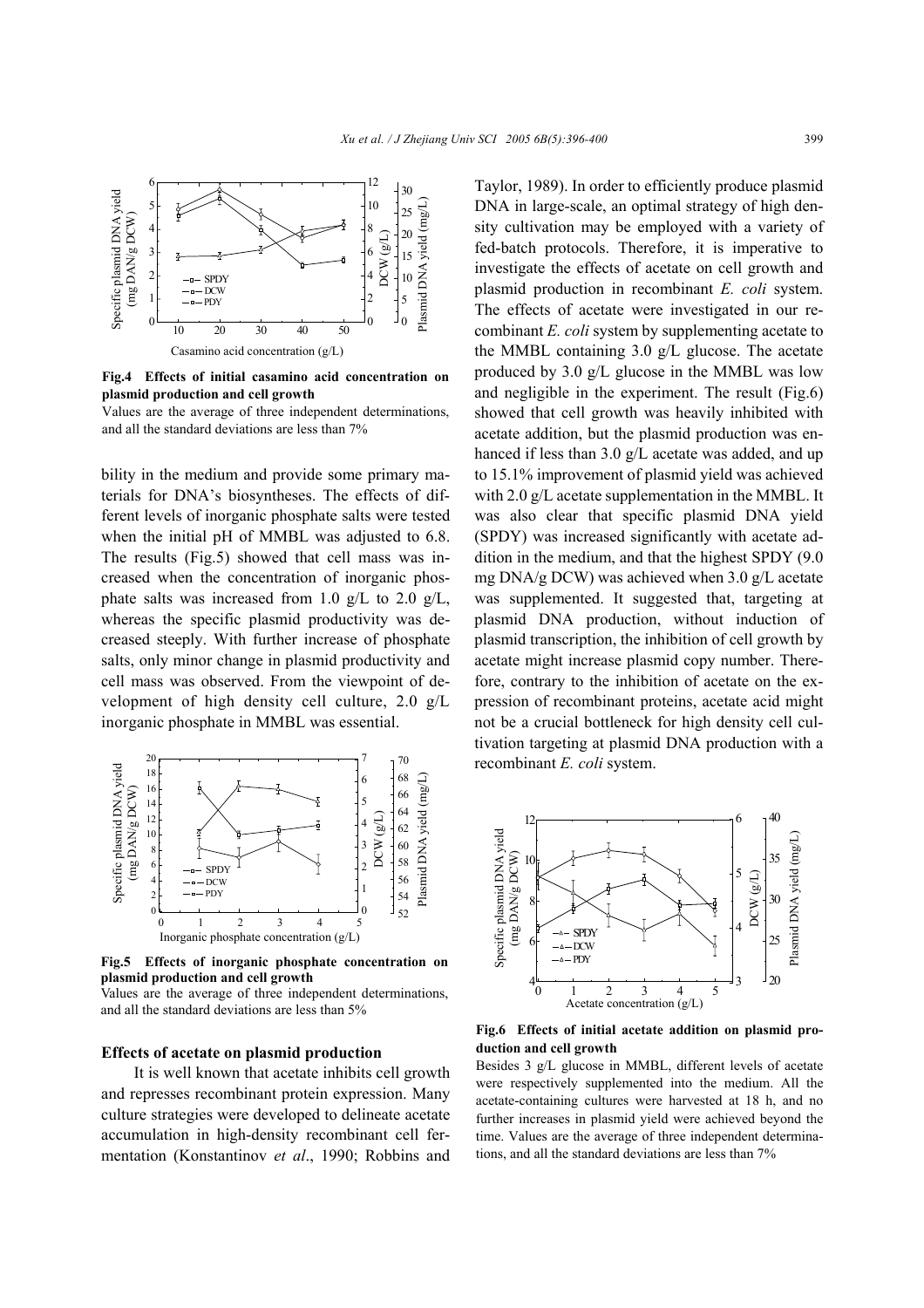

**Fig.4 Effects of initial casamino acid concentration on plasmid production and cell growth**

Values are the average of three independent determinations, and all the standard deviations are less than 7%

bility in the medium and provide some primary materials for DNA's biosyntheses. The effects of different levels of inorganic phosphate salts were tested when the initial pH of MMBL was adjusted to 6.8. The results (Fig.5) showed that cell mass was increased when the concentration of inorganic phosphate salts was increased from 1.0 g/L to 2.0 g/L, whereas the specific plasmid productivity was decreased steeply. With further increase of phosphate salts, only minor change in plasmid productivity and cell mass was observed. From the viewpoint of development of high density cell culture, 2.0 g/L inorganic phosphate in MMBL was essential.



**Fig.5 Effects of inorganic phosphate concentration on plasmid production and cell growth**

#### **Effects of acetate on plasmid production**

It is well known that acetate inhibits cell growth and represses recombinant protein expression. Many culture strategies were developed to delineate acetate accumulation in high-density recombinant cell fermentation (Konstantinov *et al*., 1990; Robbins and

Taylor, 1989). In order to efficiently produce plasmid DNA in large-scale, an optimal strategy of high density cultivation may be employed with a variety of fed-batch protocols. Therefore, it is imperative to investigate the effects of acetate on cell growth and plasmid production in recombinant *E. coli* system. The effects of acetate were investigated in our recombinant *E. coli* system by supplementing acetate to the MMBL containing 3.0 g/L glucose. The acetate produced by 3.0 g/L glucose in the MMBL was low and negligible in the experiment. The result (Fig.6) showed that cell growth was heavily inhibited with acetate addition, but the plasmid production was enhanced if less than 3.0 g/L acetate was added, and up to 15.1% improvement of plasmid yield was achieved with 2.0 g/L acetate supplementation in the MMBL. It was also clear that specific plasmid DNA yield (SPDY) was increased significantly with acetate addition in the medium, and that the highest SPDY (9.0 mg DNA/g DCW) was achieved when 3.0 g/L acetate was supplemented. It suggested that, targeting at plasmid DNA production, without induction of plasmid transcription, the inhibition of cell growth by acetate might increase plasmid copy number. Therefore, contrary to the inhibition of acetate on the expression of recombinant proteins, acetate acid might not be a crucial bottleneck for high density cell cultivation targeting at plasmid DNA production with a recombinant *E. coli* system.



**Fig.6 Effects of initial acetate addition on plasmid production and cell growth** 

Besides 3 g/L glucose in MMBL, different levels of acetate were respectively supplemented into the medium. All the acetate-containing cultures were harvested at 18 h, and no further increases in plasmid yield were achieved beyond the time. Values are the average of three independent determinations, and all the standard deviations are less than 7%

Values are the average of three independent determinations, and all the standard deviations are less than 5%